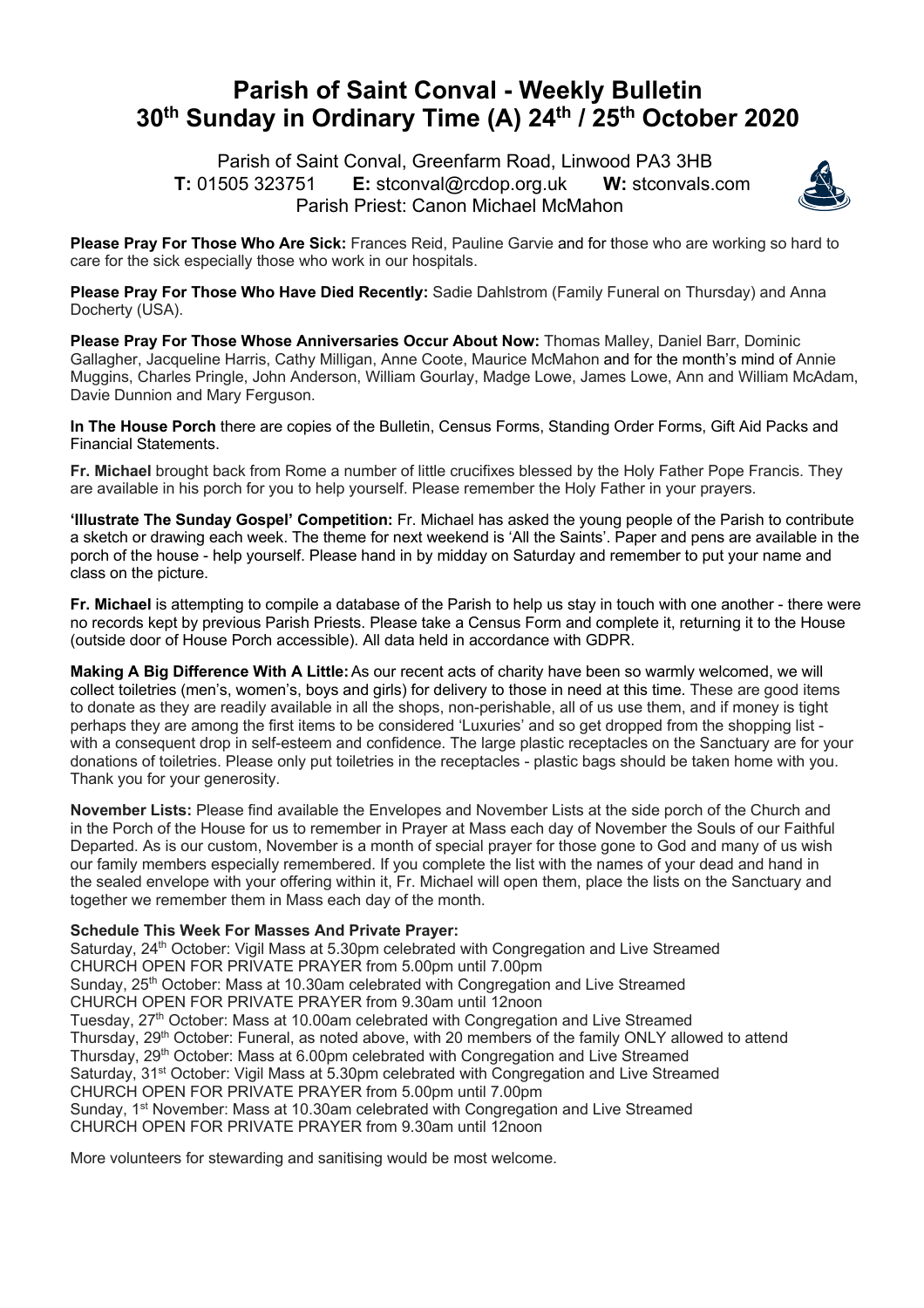## **Parish of Saint Conval - Weekly Bulletin 30th Sunday in Ordinary Time (A) 24th / 25th October 2020**

 Parish of Saint Conval, Greenfarm Road, Linwood PA3 3HB **T:** 01505 323751 **E:** stconval@rcdop.org.uk **W:** stconvals.com Parish Priest: Canon Michael McMahon



**Please Pray For Those Who Are Sick:** Frances Reid, Pauline Garvie and for those who are working so hard to care for the sick especially those who work in our hospitals.

**Please Pray For Those Who Have Died Recently:** Sadie Dahlstrom (Family Funeral on Thursday) and Anna Docherty (USA).

**Please Pray For Those Whose Anniversaries Occur About Now:** Thomas Malley, Daniel Barr, Dominic Gallagher, Jacqueline Harris, Cathy Milligan, Anne Coote, Maurice McMahon and for the month's mind of Annie Muggins, Charles Pringle, John Anderson, William Gourlay, Madge Lowe, James Lowe, Ann and William McAdam, Davie Dunnion and Mary Ferguson.

**In The House Porch** there are copies of the Bulletin, Census Forms, Standing Order Forms, Gift Aid Packs and Financial Statements.

**Fr. Michael** brought back from Rome a number of little crucifixes blessed by the Holy Father Pope Francis. They are available in his porch for you to help yourself. Please remember the Holy Father in your prayers.

**'Illustrate The Sunday Gospel' Competition:** Fr. Michael has asked the young people of the Parish to contribute a sketch or drawing each week. The theme for next weekend is 'All the Saints'. Paper and pens are available in the porch of the house - help yourself. Please hand in by midday on Saturday and remember to put your name and class on the picture.

**Fr. Michael** is attempting to compile a database of the Parish to help us stay in touch with one another - there were no records kept by previous Parish Priests. Please take a Census Form and complete it, returning it to the House (outside door of House Porch accessible). All data held in accordance with GDPR.

**Making A Big Difference With A Little:**As our recent acts of charity have been so warmly welcomed, we will collect toiletries (men's, women's, boys and girls) for delivery to those in need at this time. These are good items to donate as they are readily available in all the shops, non-perishable, all of us use them, and if money is tight perhaps they are among the first items to be considered 'Luxuries' and so get dropped from the shopping list with a consequent drop in self-esteem and confidence. The large plastic receptacles on the Sanctuary are for your donations of toiletries. Please only put toiletries in the receptacles - plastic bags should be taken home with you. Thank you for your generosity.

**November Lists:** Please find available the Envelopes and November Lists at the side porch of the Church and in the Porch of the House for us to remember in Prayer at Mass each day of November the Souls of our Faithful Departed. As is our custom, November is a month of special prayer for those gone to God and many of us wish our family members especially remembered. If you complete the list with the names of your dead and hand in the sealed envelope with your offering within it, Fr. Michael will open them, place the lists on the Sanctuary and together we remember them in Mass each day of the month.

## **Schedule This Week For Masses And Private Prayer:**

Saturday, 24<sup>th</sup> October: Vigil Mass at 5.30pm celebrated with Congregation and Live Streamed CHURCH OPEN FOR PRIVATE PRAYER from 5.00pm until 7.00pm Sunday, 25<sup>th</sup> October: Mass at 10.30am celebrated with Congregation and Live Streamed CHURCH OPEN FOR PRIVATE PRAYER from 9.30am until 12noon Tuesday, 27<sup>th</sup> October: Mass at 10.00am celebrated with Congregation and Live Streamed Thursday, 29<sup>th</sup> October: Funeral, as noted above, with 20 members of the family ONLY allowed to attend Thursday, 29<sup>th</sup> October: Mass at 6.00pm celebrated with Congregation and Live Streamed Saturday, 31<sup>st</sup> October: Vigil Mass at 5.30pm celebrated with Congregation and Live Streamed CHURCH OPEN FOR PRIVATE PRAYER from 5.00pm until 7.00pm Sunday,  $1<sup>st</sup>$  November: Mass at 10.30am celebrated with Congregation and Live Streamed CHURCH OPEN FOR PRIVATE PRAYER from 9.30am until 12noon

More volunteers for stewarding and sanitising would be most welcome.